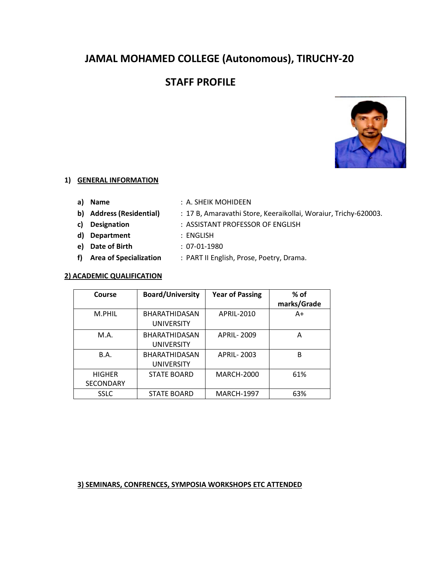# **JAMAL MOHAMED COLLEGE (Autonomous), TIRUCHY-20**

# **STAFF PROFILE**



#### **1) GENERAL INFORMATION**

- 
- **a) Name** : A. SHEIK MOHIDEEN
- **b) Address (Residential)** : 17 B, Amaravathi Store, Keeraikollai, Woraiur, Trichy-620003.
- **c) Designation** : ASSISTANT PROFESSOR OF ENGLISH
- 
- **d) Department** : ENGLISH
- **e) Date of Birth** : 07-01-1980
	-
- **f) Area of Specialization** : PART II English, Prose, Poetry, Drama.

#### **2) ACADEMIC QUALIFICATION**

| Course                     | <b>Board/University</b>                   | <b>Year of Passing</b> | % of<br>marks/Grade |
|----------------------------|-------------------------------------------|------------------------|---------------------|
| M.PHIL                     | <b>BHARATHIDASAN</b><br><b>UNIVERSITY</b> | APRIL-2010             | A+                  |
| M.A.                       | <b>BHARATHIDASAN</b><br><b>UNIVERSITY</b> | <b>APRIL-2009</b>      | А                   |
| B.A.                       | <b>BHARATHIDASAN</b><br><b>UNIVERSITY</b> | <b>APRIL-2003</b>      | B                   |
| <b>HIGHER</b><br>SECONDARY | <b>STATE BOARD</b>                        | <b>MARCH-2000</b>      | 61%                 |
| <b>SSLC</b>                | <b>STATE BOARD</b>                        | <b>MARCH-1997</b>      | 63%                 |

## **3) SEMINARS, CONFRENCES, SYMPOSIA WORKSHOPS ETC ATTENDED**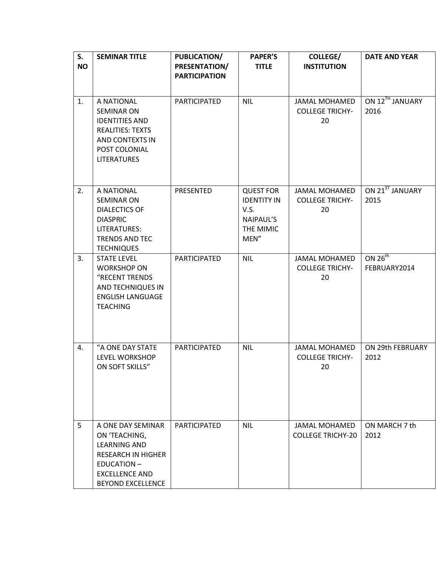| S.<br><b>NO</b> | <b>SEMINAR TITLE</b>                                                                                                                                             | PUBLICATION/<br>PRESENTATION/<br><b>PARTICIPATION</b> | <b>PAPER'S</b><br><b>TITLE</b>                                                   | <b>COLLEGE/</b><br><b>INSTITUTION</b>                | <b>DATE AND YEAR</b>         |
|-----------------|------------------------------------------------------------------------------------------------------------------------------------------------------------------|-------------------------------------------------------|----------------------------------------------------------------------------------|------------------------------------------------------|------------------------------|
| 1.              | A NATIONAL<br><b>SEMINAR ON</b><br><b>IDENTITIES AND</b><br><b>REALITIES: TEXTS</b><br>AND CONTEXTS IN<br>POST COLONIAL<br><b>LITERATURES</b>                    | PARTICIPATED                                          | <b>NIL</b>                                                                       | <b>JAMAL MOHAMED</b><br><b>COLLEGE TRICHY-</b><br>20 | ON 12TH JANUARY<br>2016      |
| 2.              | A NATIONAL<br><b>SEMINAR ON</b><br><b>DIALECTICS OF</b><br><b>DIASPRIC</b><br>LITERATURES:<br>TRENDS AND TEC<br><b>TECHNIQUES</b>                                | PRESENTED                                             | <b>QUEST FOR</b><br><b>IDENTITY IN</b><br>V.S.<br>NAIPAUL'S<br>THE MIMIC<br>MEN" | <b>JAMAL MOHAMED</b><br><b>COLLEGE TRICHY-</b><br>20 | ON 21ST JANUARY<br>2015      |
| 3.              | <b>STATE LEVEL</b><br><b>WORKSHOP ON</b><br>"RECENT TRENDS<br>AND TECHNIQUES IN<br><b>ENGLISH LANGUAGE</b><br><b>TEACHING</b>                                    | <b>PARTICIPATED</b>                                   | <b>NIL</b>                                                                       | <b>JAMAL MOHAMED</b><br><b>COLLEGE TRICHY-</b><br>20 | ON $26^{th}$<br>FEBRUARY2014 |
| 4.              | "A ONE DAY STATE<br><b>LEVEL WORKSHOP</b><br>ON SOFT SKILLS"                                                                                                     | PARTICIPATED                                          | <b>NIL</b>                                                                       | <b>JAMAL MOHAMED</b><br><b>COLLEGE TRICHY-</b><br>20 | ON 29th FEBRUARY<br>2012     |
| 5               | A ONE DAY SEMINAR<br>ON 'TEACHING,<br><b>LEARNING AND</b><br><b>RESEARCH IN HIGHER</b><br><b>EDUCATION-</b><br><b>EXCELLENCE AND</b><br><b>BEYOND EXCELLENCE</b> | <b>PARTICIPATED</b>                                   | <b>NIL</b>                                                                       | <b>JAMAL MOHAMED</b><br><b>COLLEGE TRICHY-20</b>     | ON MARCH 7 th<br>2012        |